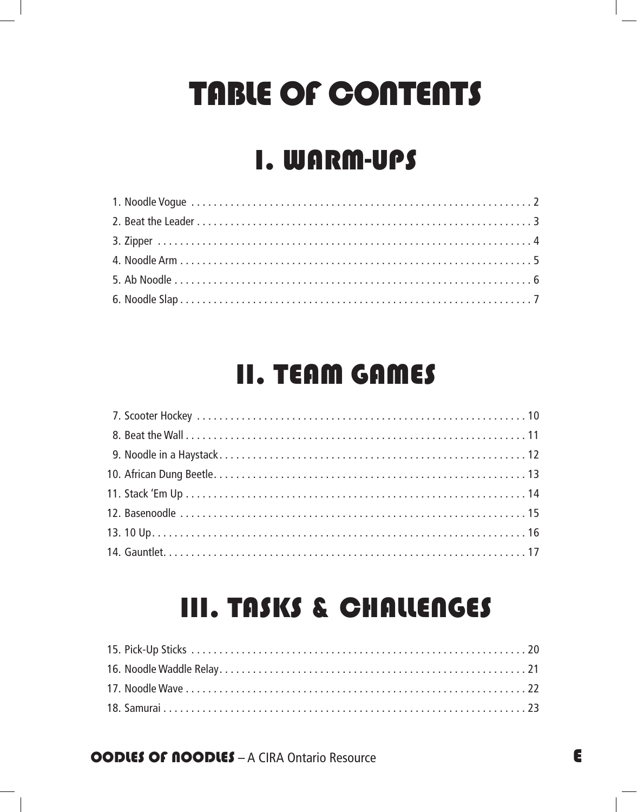# TABLE OF CONTENTS

### I. WARM-UPS

### II. TEAM GAMES

### III. TASKS & CHALLENGES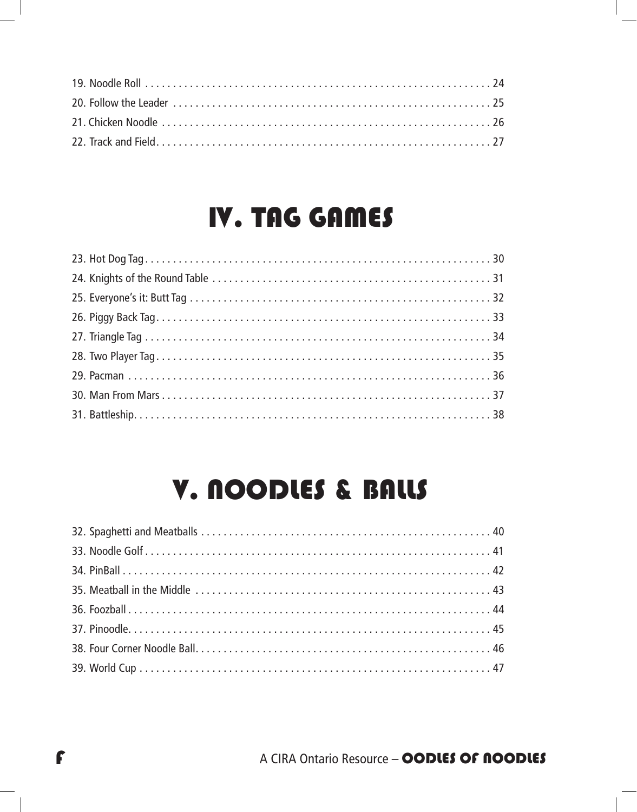### IV. TAG GAMES

### V. NOODLES & BALLS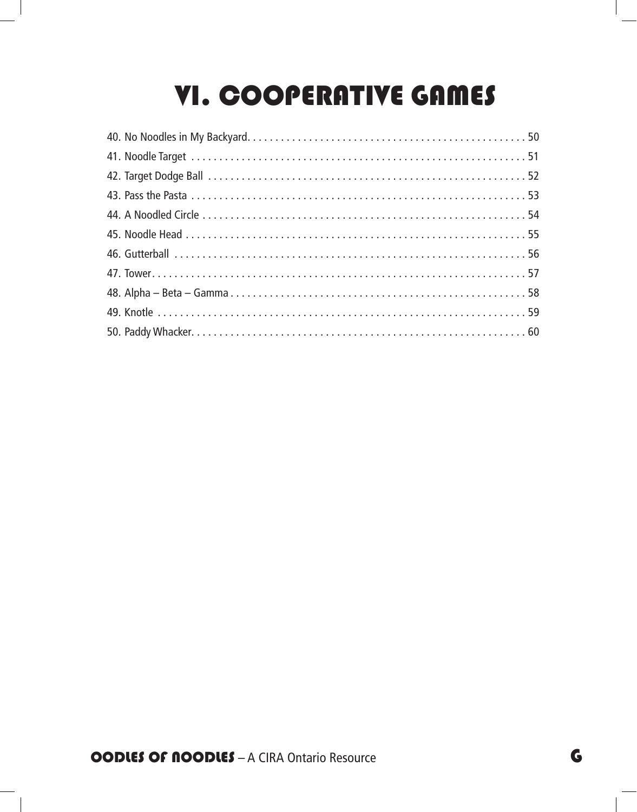## VI. COOPERATIVE GAMES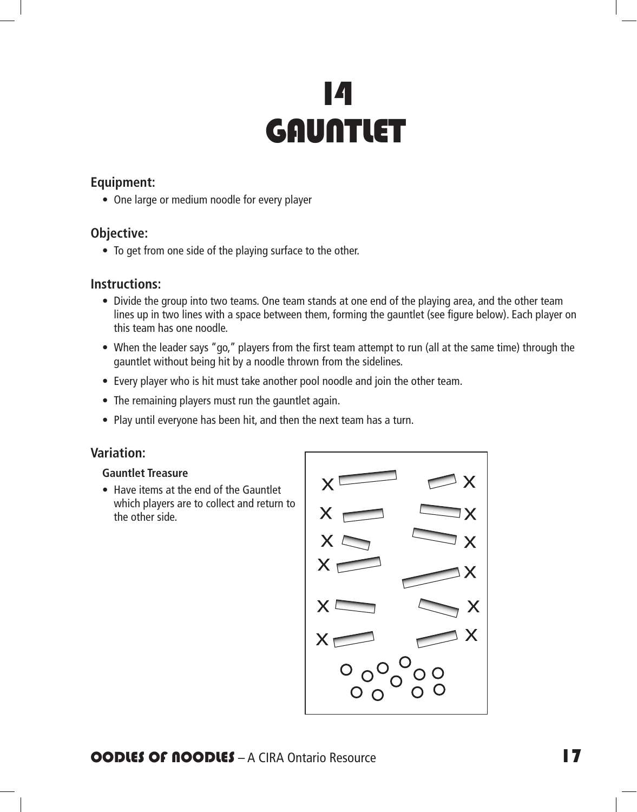## 14 **GAUNTLET**

#### **Equipment:**

• One large or medium noodle for every player

#### **Objective:**

• To get from one side of the playing surface to the other.

#### **Instructions:**

- Divide the group into two teams. One team stands at one end of the playing area, and the other team lines up in two lines with a space between them, forming the gauntlet (see figure below). Each player on this team has one noodle.
- When the leader says "go," players from the first team attempt to run (all at the same time) through the gauntlet without being hit by a noodle thrown from the sidelines.
- Every player who is hit must take another pool noodle and join the other team.
- The remaining players must run the gauntlet again.
- Play until everyone has been hit, and then the next team has a turn.

#### **Variation:**

#### **Gauntlet Treasure**

• Have items at the end of the Gauntlet which players are to collect and return to the other side.

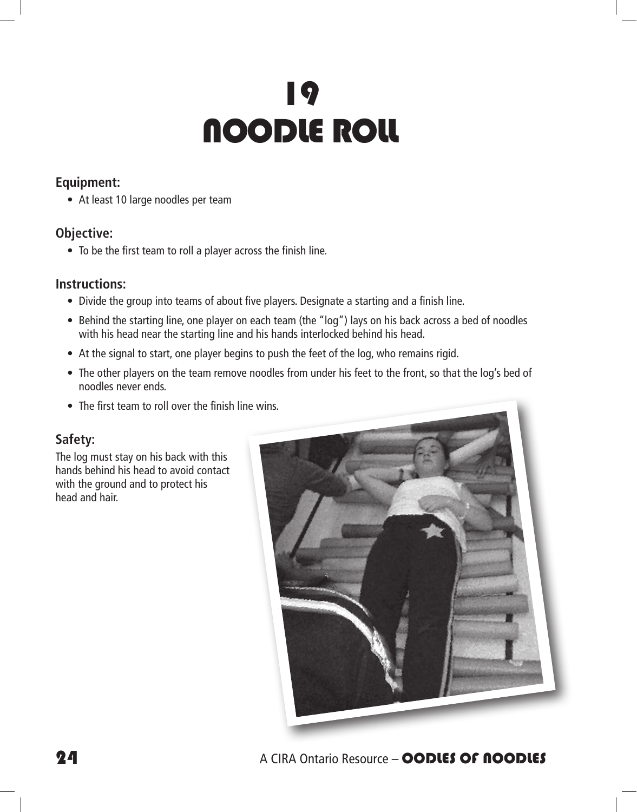# 19 NOODLE ROLL

#### **Equipment:**

• At least 10 large noodles per team

#### **Objective:**

• To be the first team to roll a player across the finish line.

#### **Instructions:**

- Divide the group into teams of about five players. Designate a starting and a finish line.
- Behind the starting line, one player on each team (the "log") lays on his back across a bed of noodles with his head near the starting line and his hands interlocked behind his head.
- At the signal to start, one player begins to push the feet of the log, who remains rigid.
- The other players on the team remove noodles from under his feet to the front, so that the log's bed of noodles never ends.
- The first team to roll over the finish line wins.

#### **Safety:**

The log must stay on his back with this hands behind his head to avoid contact with the ground and to protect his head and hair.

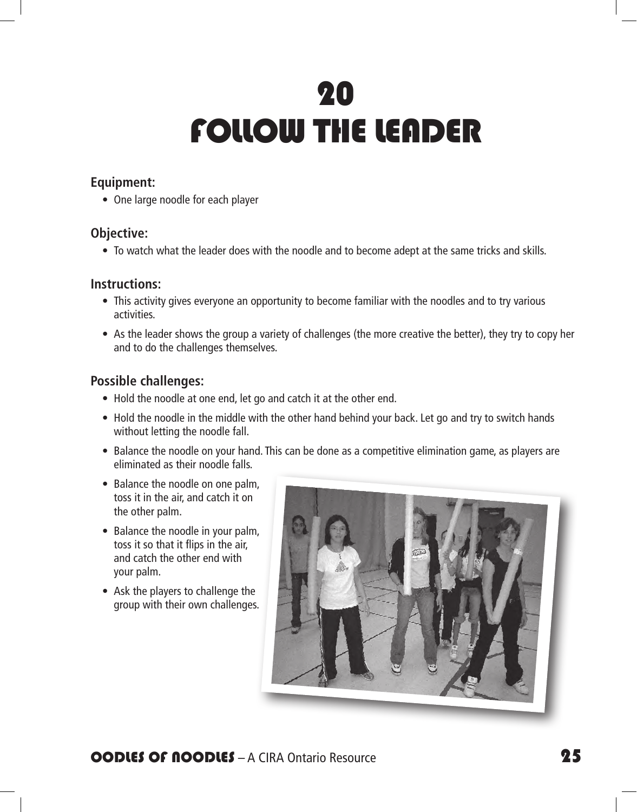# 20 FOLLOW THE LEADER

#### **Equipment:**

• One large noodle for each player

#### **Objective:**

• To watch what the leader does with the noodle and to become adept at the same tricks and skills.

#### **Instructions:**

- This activity gives everyone an opportunity to become familiar with the noodles and to try various activities.
- As the leader shows the group a variety of challenges (the more creative the better), they try to copy her and to do the challenges themselves.

#### **Possible challenges:**

- Hold the noodle at one end, let go and catch it at the other end.
- Hold the noodle in the middle with the other hand behind your back. Let go and try to switch hands without letting the noodle fall.
- Balance the noodle on your hand. This can be done as a competitive elimination game, as players are eliminated as their noodle falls.
- Balance the noodle on one palm, toss it in the air, and catch it on the other palm.
- Balance the noodle in your palm, toss it so that it flips in the air, and catch the other end with your palm.
- Ask the players to challenge the group with their own challenges.